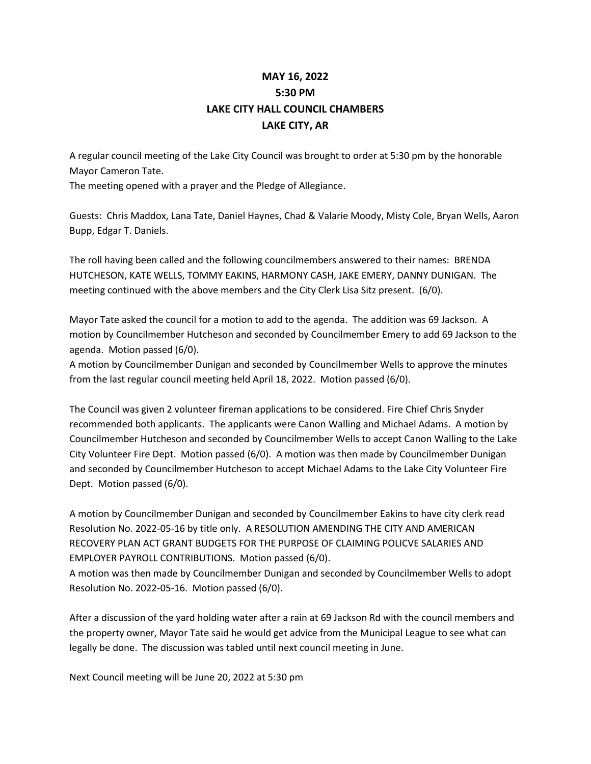## **MAY 16, 2022 5:30 PM LAKE CITY HALL COUNCIL CHAMBERS LAKE CITY, AR**

A regular council meeting of the Lake City Council was brought to order at 5:30 pm by the honorable Mayor Cameron Tate.

The meeting opened with a prayer and the Pledge of Allegiance.

Guests: Chris Maddox, Lana Tate, Daniel Haynes, Chad & Valarie Moody, Misty Cole, Bryan Wells, Aaron Bupp, Edgar T. Daniels.

The roll having been called and the following councilmembers answered to their names: BRENDA HUTCHESON, KATE WELLS, TOMMY EAKINS, HARMONY CASH, JAKE EMERY, DANNY DUNIGAN. The meeting continued with the above members and the City Clerk Lisa Sitz present. (6/0).

Mayor Tate asked the council for a motion to add to the agenda. The addition was 69 Jackson. A motion by Councilmember Hutcheson and seconded by Councilmember Emery to add 69 Jackson to the agenda. Motion passed (6/0).

A motion by Councilmember Dunigan and seconded by Councilmember Wells to approve the minutes from the last regular council meeting held April 18, 2022. Motion passed (6/0).

The Council was given 2 volunteer fireman applications to be considered. Fire Chief Chris Snyder recommended both applicants. The applicants were Canon Walling and Michael Adams. A motion by Councilmember Hutcheson and seconded by Councilmember Wells to accept Canon Walling to the Lake City Volunteer Fire Dept. Motion passed (6/0). A motion was then made by Councilmember Dunigan and seconded by Councilmember Hutcheson to accept Michael Adams to the Lake City Volunteer Fire Dept. Motion passed (6/0).

A motion by Councilmember Dunigan and seconded by Councilmember Eakins to have city clerk read Resolution No. 2022-05-16 by title only. A RESOLUTION AMENDING THE CITY AND AMERICAN RECOVERY PLAN ACT GRANT BUDGETS FOR THE PURPOSE OF CLAIMING POLICVE SALARIES AND EMPLOYER PAYROLL CONTRIBUTIONS. Motion passed (6/0).

A motion was then made by Councilmember Dunigan and seconded by Councilmember Wells to adopt Resolution No. 2022-05-16. Motion passed (6/0).

After a discussion of the yard holding water after a rain at 69 Jackson Rd with the council members and the property owner, Mayor Tate said he would get advice from the Municipal League to see what can legally be done. The discussion was tabled until next council meeting in June.

Next Council meeting will be June 20, 2022 at 5:30 pm